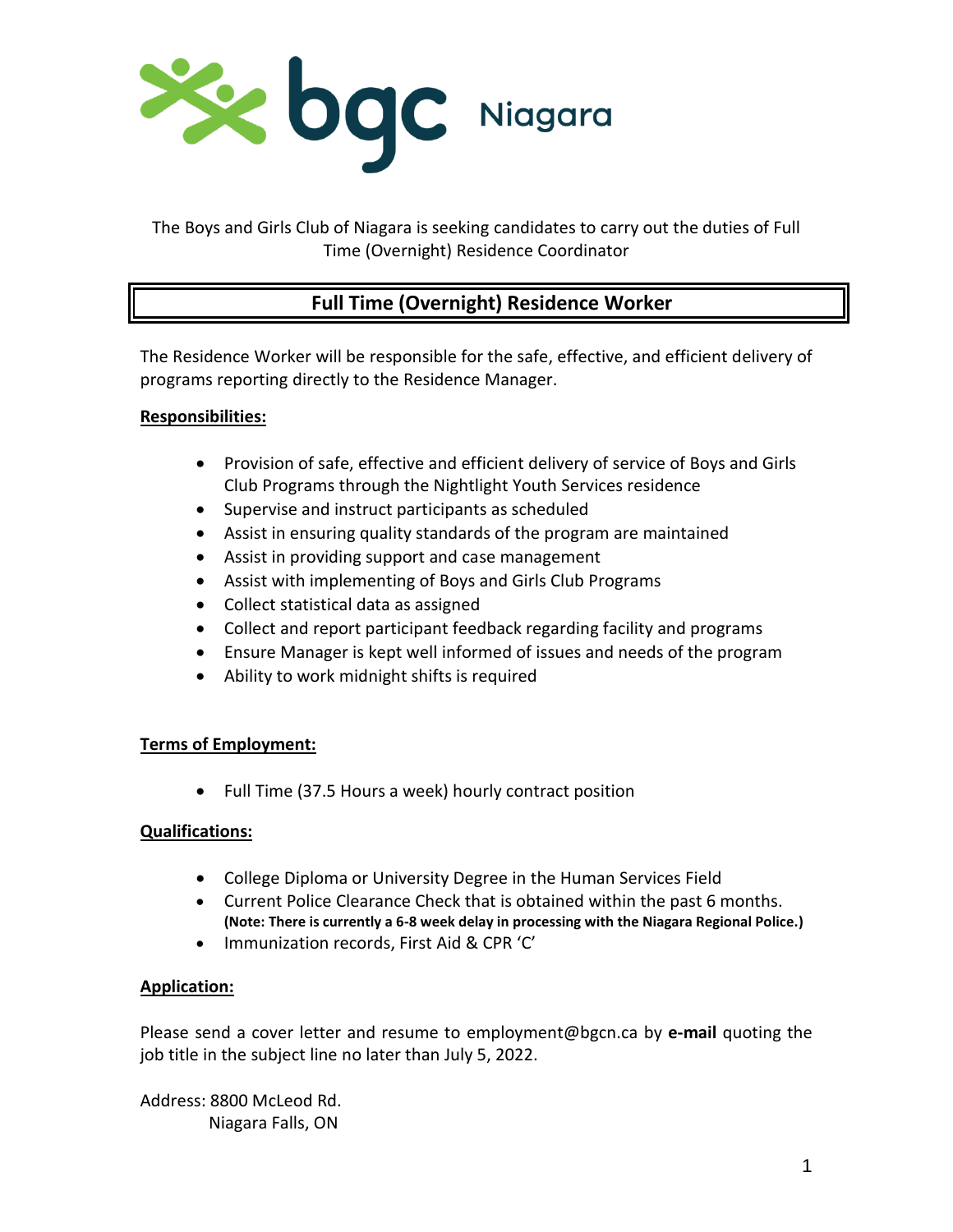

The Boys and Girls Club of Niagara is seeking candidates to carry out the duties of Full Time (Overnight) Residence Coordinator

# **Full Time (Overnight) Residence Worker**

The Residence Worker will be responsible for the safe, effective, and efficient delivery of programs reporting directly to the Residence Manager.

### **Responsibilities:**

- Provision of safe, effective and efficient delivery of service of Boys and Girls Club Programs through the Nightlight Youth Services residence
- Supervise and instruct participants as scheduled
- Assist in ensuring quality standards of the program are maintained
- Assist in providing support and case management
- Assist with implementing of Boys and Girls Club Programs
- Collect statistical data as assigned
- Collect and report participant feedback regarding facility and programs
- Ensure Manager is kept well informed of issues and needs of the program
- Ability to work midnight shifts is required

## **Terms of Employment:**

• Full Time (37.5 Hours a week) hourly contract position

## **Qualifications:**

- College Diploma or University Degree in the Human Services Field
- Current Police Clearance Check that is obtained within the past 6 months. **(Note: There is currently a 6-8 week delay in processing with the Niagara Regional Police.)**
- Immunization records, First Aid & CPR 'C'

## **Application:**

Please send a cover letter and resume to employment@bgcn.ca by **e-mail** quoting the job title in the subject line no later than July 5, 2022.

Address: 8800 McLeod Rd. Niagara Falls, ON